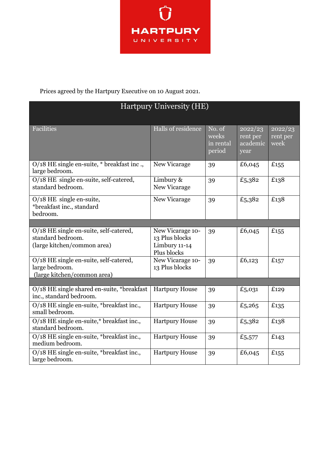

Prices agreed by the Hartpury Executive on 10 August 2021.

| Hartpury University (HE)                                                                   |                                                                    |                                        |                                         |                             |  |  |
|--------------------------------------------------------------------------------------------|--------------------------------------------------------------------|----------------------------------------|-----------------------------------------|-----------------------------|--|--|
| Facilities                                                                                 | Halls of residence                                                 | No. of<br>weeks<br>in rental<br>period | 2022/23<br>rent per<br>academic<br>year | 2022/23<br>rent per<br>week |  |  |
| O/18 HE single en-suite, * breakfast inc.,<br>large bedroom.                               | New Vicarage                                                       | 39                                     | £6,045                                  | £155                        |  |  |
| O/18 HE single en-suite, self-catered,<br>standard bedroom.                                | Limbury &<br>New Vicarage                                          | 39                                     | £5,382                                  | £138                        |  |  |
| $O/18$ HE single en-suite,<br>*breakfast inc., standard<br>bedroom.                        | New Vicarage                                                       | 39                                     | £5,382                                  | £138                        |  |  |
|                                                                                            |                                                                    |                                        |                                         |                             |  |  |
| O/18 HE single en-suite, self-catered,<br>standard bedroom.<br>(large kitchen/common area) | New Vicarage 10-<br>13 Plus blocks<br>Limbury 11-14<br>Plus blocks | 39                                     | £6,045                                  | £ $155$                     |  |  |
| O/18 HE single en-suite, self-catered,<br>large bedroom.<br>(large kitchen/common area)    | New Vicarage 10-<br>13 Plus blocks                                 | 39                                     | £6,123                                  | £157                        |  |  |
|                                                                                            |                                                                    |                                        |                                         |                             |  |  |
| O/18 HE single shared en-suite, *breakfast<br>inc., standard bedroom.                      | <b>Hartpury House</b>                                              | 39                                     | £5,031                                  | £129                        |  |  |
| O/18 HE single en-suite, *breakfast inc.,<br>small bedroom.                                | <b>Hartpury House</b>                                              | 39                                     | £5,265                                  | £135                        |  |  |
| O/18 HE single en-suite,* breakfast inc.,<br>standard bedroom.                             | <b>Hartpury House</b>                                              | 39                                     | £5,382                                  | £138                        |  |  |
| O/18 HE single en-suite, *breakfast inc.,<br>medium bedroom.                               | <b>Hartpury House</b>                                              | 39                                     | £5,577                                  | £143                        |  |  |
| O/18 HE single en-suite, *breakfast inc.,<br>large bedroom.                                | <b>Hartpury House</b>                                              | 39                                     | £6,045                                  | £155                        |  |  |